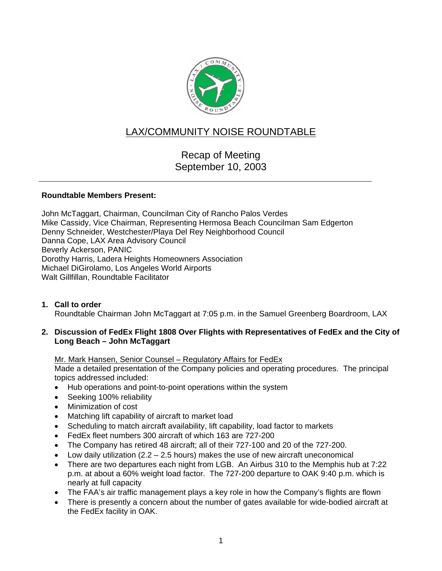

# LAX/COMMUNITY NOISE ROUNDTABLE

## Recap of Meeting September 10, 2003

#### **Roundtable Members Present:**

John McTaggart, Chairman, Councilman City of Rancho Palos Verdes Mike Cassidy, Vice Chairman, Representing Hermosa Beach Councilman Sam Edgerton Denny Schneider, Westchester/Playa Del Rey Neighborhood Council Danna Cope, LAX Area Advisory Council Beverly Ackerson, PANIC Dorothy Harris, Ladera Heights Homeowners Association Michael DiGirolamo, Los Angeles World Airports Walt Gillfillan, Roundtable Facilitator

**1. Call to order**  Roundtable Chairman John McTaggart at 7:05 p.m. in the Samuel Greenberg Boardroom, LAX

#### **2. Discussion of FedEx Flight 1808 Over Flights with Representatives of FedEx and the City of Long Beach – John McTaggart**

Mr. Mark Hansen, Senior Counsel – Regulatory Affairs for FedEx

Made a detailed presentation of the Company policies and operating procedures. The principal topics addressed included:

- Hub operations and point-to-point operations within the system
- Seeking 100% reliability
- Minimization of cost
- Matching lift capability of aircraft to market load
- Scheduling to match aircraft availability, lift capability, load factor to markets
- FedEx fleet numbers 300 aircraft of which 163 are 727-200
- The Company has retired 48 aircraft; all of their 727-100 and 20 of the 727-200.
- Low daily utilization  $(2.2 2.5$  hours) makes the use of new aircraft uneconomical
- There are two departures each night from LGB. An Airbus 310 to the Memphis hub at 7:22 p.m. at about a 60% weight load factor. The 727-200 departure to OAK 9:40 p.m. which is nearly at full capacity
- The FAA's air traffic management plays a key role in how the Company's flights are flown
- There is presently a concern about the number of gates available for wide-bodied aircraft at the FedEx facility in OAK.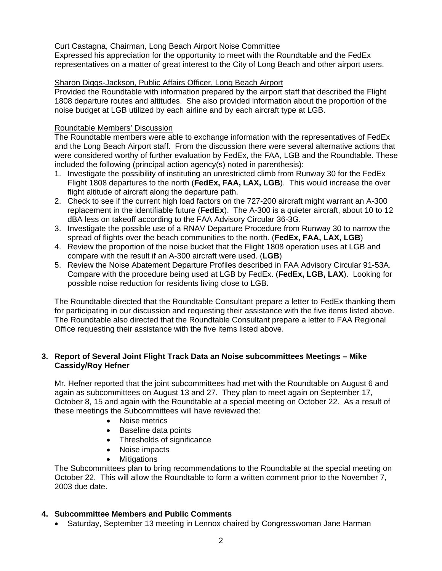#### Curt Castagna, Chairman, Long Beach Airport Noise Committee

Expressed his appreciation for the opportunity to meet with the Roundtable and the FedEx representatives on a matter of great interest to the City of Long Beach and other airport users.

#### Sharon Diggs-Jackson, Public Affairs Officer, Long Beach Airport

Provided the Roundtable with information prepared by the airport staff that described the Flight 1808 departure routes and altitudes. She also provided information about the proportion of the noise budget at LGB utilized by each airline and by each aircraft type at LGB.

#### Roundtable Members' Discussion

The Roundtable members were able to exchange information with the representatives of FedEx and the Long Beach Airport staff. From the discussion there were several alternative actions that were considered worthy of further evaluation by FedEx, the FAA, LGB and the Roundtable. These included the following (principal action agency(s) noted in parenthesis):

- 1. Investigate the possibility of instituting an unrestricted climb from Runway 30 for the FedEx Flight 1808 departures to the north (**FedEx, FAA, LAX, LGB**). This would increase the over flight altitude of aircraft along the departure path.
- 2. Check to see if the current high load factors on the 727-200 aircraft might warrant an A-300 replacement in the identifiable future (**FedEx**). The A-300 is a quieter aircraft, about 10 to 12 dBA less on takeoff according to the FAA Advisory Circular 36-3G.
- 3. Investigate the possible use of a RNAV Departure Procedure from Runway 30 to narrow the spread of flights over the beach communities to the north. (**FedEx, FAA, LAX, LGB**)
- 4. Review the proportion of the noise bucket that the Flight 1808 operation uses at LGB and compare with the result if an A-300 aircraft were used. (**LGB**)
- 5. Review the Noise Abatement Departure Profiles described in FAA Advisory Circular 91-53A. Compare with the procedure being used at LGB by FedEx. (**FedEx, LGB, LAX**). Looking for possible noise reduction for residents living close to LGB.

The Roundtable directed that the Roundtable Consultant prepare a letter to FedEx thanking them for participating in our discussion and requesting their assistance with the five items listed above. The Roundtable also directed that the Roundtable Consultant prepare a letter to FAA Regional Office requesting their assistance with the five items listed above.

#### **3. Report of Several Joint Flight Track Data an Noise subcommittees Meetings – Mike Cassidy/Roy Hefner**

Mr. Hefner reported that the joint subcommittees had met with the Roundtable on August 6 and again as subcommittees on August 13 and 27. They plan to meet again on September 17, October 8, 15 and again with the Roundtable at a special meeting on October 22. As a result of these meetings the Subcommittees will have reviewed the:

- Noise metrics
- Baseline data points
- Thresholds of significance
- Noise impacts
- Mitigations

The Subcommittees plan to bring recommendations to the Roundtable at the special meeting on October 22. This will allow the Roundtable to form a written comment prior to the November 7, 2003 due date.

#### **4. Subcommittee Members and Public Comments**

• Saturday, September 13 meeting in Lennox chaired by Congresswoman Jane Harman